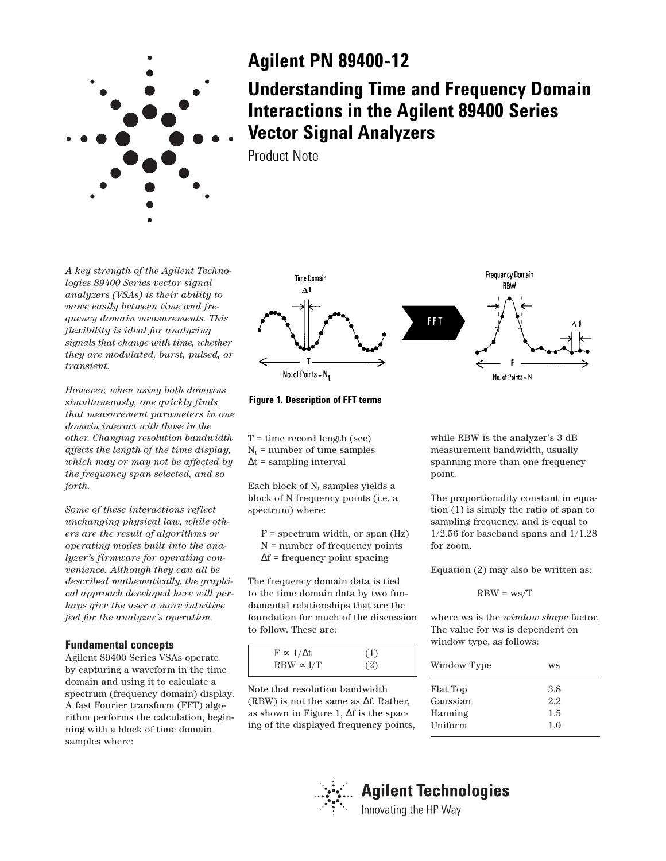

## **Agilent PN 89400-12**

**Understanding Time and Frequency Domain Interactions in the Agilent 89400 Series Vector Signal Analyzers**

Product Note

*A key strength of the Agilent Technologies 89400 Series vector signal analyzers (VSAs) is their ability to move easily between time and frequency domain measurements. This flexibility is ideal for analyzing signals that change with time, whether they are modulated, burst, pulsed, or transient.*

*However, when using both domains simultaneously, one quickly finds that measurement parameters in one domain interact with those in the other. Changing resolution bandwidth affects the length of the time display, which may or may not be affected by the frequency span selected, and so forth.*

*Some of these interactions reflect unchanging physical law, while others are the result of algorithms or operating modes built into the analyzer's firmware for operating convenience. Although they can all be described mathematically, the graphical approach developed here will perhaps give the user a more intuitive feel for the analyzer's operation.*

## **Fundamental concepts**

Agilent 89400 Series VSAs operate by capturing a waveform in the time domain and using it to calculate a spectrum (frequency domain) display. A fast Fourier transform (FFT) algorithm performs the calculation, beginning with a block of time domain samples where:



**Figure 1. Description of FFT terms**

 $T =$  time record length (sec)  $N_t$  = number of time samples  $\Delta t$  = sampling interval

Each block of  $N_t$  samples yields a block of N frequency points (i.e. a spectrum) where:

 $F =$  spectrum width, or span  $(Hz)$ N = number of frequency points ∆f = frequency point spacing

The frequency domain data is tied to the time domain data by two fundamental relationships that are the foundation for much of the discussion to follow. These are:

| $F \propto 1/\Delta t$ | (1) |  |
|------------------------|-----|--|
| $RBW \propto 1/T$      | (2) |  |

Note that resolution bandwidth (RBW) is not the same as ∆f. Rather, as shown in Figure 1, ∆f is the spacing of the displayed frequency points, while RBW is the analyzer's 3 dB measurement bandwidth, usually spanning more than one frequency point.

The proportionality constant in equation (1) is simply the ratio of span to sampling frequency, and is equal to  $1/2.56$  for baseband spans and  $1/1.28$ for zoom.

Equation (2) may also be written as:

$$
RBW = ws/T
$$

where ws is the *window shape* factor. The value for ws is dependent on window type, as follows:

| Window Type | WS  |  |
|-------------|-----|--|
| Flat Top    | 3.8 |  |
| Gaussian    | 2.2 |  |
| Hanning     | 1.5 |  |
| Uniform     | 1.0 |  |
|             |     |  |



# **Agilent Technologies**

Innovating the HP Way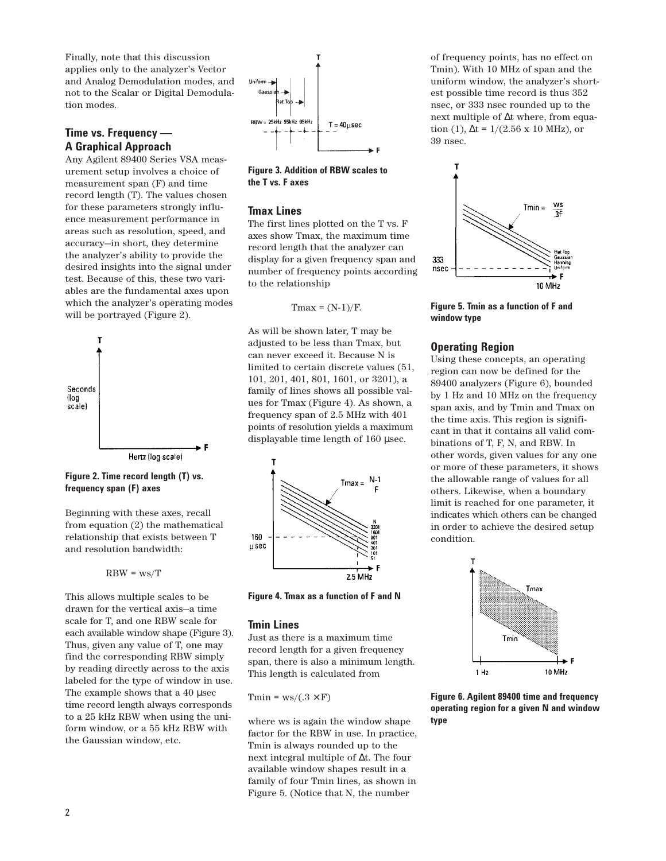Finally, note that this discussion applies only to the analyzer's Vector and Analog Demodulation modes, and not to the Scalar or Digital Demodulation modes.

## **Time vs. Frequency — A Graphical Approach**

Any Agilent 89400 Series VSA measurement setup involves a choice of measurement span (F) and time record length (T). The values chosen for these parameters strongly influence measurement performance in areas such as resolution, speed, and accuracy—in short, they determine the analyzer's ability to provide the desired insights into the signal under test. Because of this, these two variables are the fundamental axes upon which the analyzer's operating modes will be portrayed (Figure 2).



**Figure 2. Time record length (T) vs. frequency span (F) axes**

Beginning with these axes, recall from equation (2) the mathematical relationship that exists between T and resolution bandwidth:

$$
RBW = ws/T
$$

This allows multiple scales to be drawn for the vertical axis—a time scale for T, and one RBW scale for each available window shape (Figure 3). Thus, given any value of T, one may find the corresponding RBW simply by reading directly across to the axis labeled for the type of window in use. The example shows that a 40 µsec time record length always corresponds to a 25 kHz RBW when using the uniform window, or a 55 kHz RBW with the Gaussian window, etc.



**Figure 3. Addition of RBW scales to the T vs. F axes**

#### **Tmax Lines**

The first lines plotted on the T vs. F axes show Tmax, the maximum time record length that the analyzer can display for a given frequency span and number of frequency points according to the relationship

$$
Tmax = (N-1)/F.
$$

As will be shown later, T may be adjusted to be less than Tmax, but can never exceed it. Because N is limited to certain discrete values (51, 101, 201, 401, 801, 1601, or 3201), a family of lines shows all possible values for Tmax (Figure 4). As shown, a frequency span of 2.5 MHz with 401 points of resolution yields a maximum displayable time length of 160 µsec.



**Figure 4. Tmax as a function of F and N** 

#### **Tmin Lines**

Just as there is a maximum time record length for a given frequency span, there is also a minimum length. This length is calculated from

Tmin =  $ws/(.3 \times F)$ 

where ws is again the window shape factor for the RBW in use. In practice, Tmin is always rounded up to the next integral multiple of ∆t. The four available window shapes result in a family of four Tmin lines, as shown in Figure 5. (Notice that N, the number

of frequency points, has no effect on Tmin). With 10 MHz of span and the uniform window, the analyzer's shortest possible time record is thus 352 nsec, or 333 nsec rounded up to the next multiple of ∆t where, from equation (1),  $\Delta t = 1/(2.56 \times 10 \text{ MHz})$ , or 39 nsec.



**Figure 5. Tmin as a function of F and window type**

## **Operating Region**

Using these concepts, an operating region can now be defined for the 89400 analyzers (Figure 6), bounded by 1 Hz and 10 MHz on the frequency span axis, and by Tmin and Tmax on the time axis. This region is significant in that it contains all valid combinations of T, F, N, and RBW. In other words, given values for any one or more of these parameters, it shows the allowable range of values for all others. Likewise, when a boundary limit is reached for one parameter, it indicates which others can be changed in order to achieve the desired setup condition.



**Figure 6. Agilent 89400 time and frequency operating region for a given N and window type**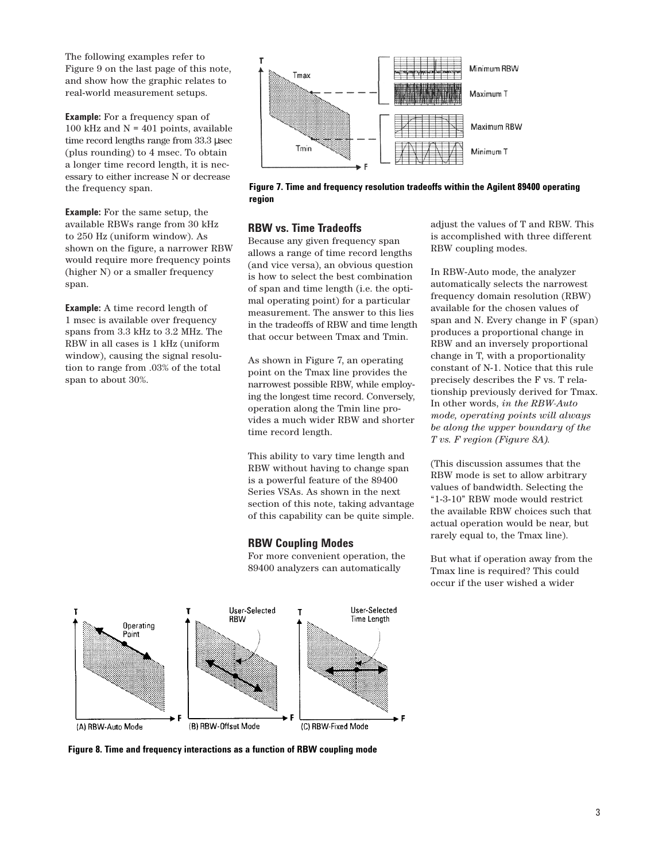The following examples refer to Figure 9 on the last page of this note, and show how the graphic relates to real-world measurement setups.

**Example:** For a frequency span of 100 kHz and  $N = 401$  points, available time record lengths range from 33.3 µsec (plus rounding) to 4 msec. To obtain a longer time record length, it is necessary to either increase N or decrease the frequency span.

**Example:** For the same setup, the available RBWs range from 30 kHz to 250 Hz (uniform window). As shown on the figure, a narrower RBW would require more frequency points (higher N) or a smaller frequency span.

**Example:** A time record length of 1 msec is available over frequency spans from 3.3 kHz to 3.2 MHz. The RBW in all cases is 1 kHz (uniform window), causing the signal resolution to range from .03% of the total span to about 30%.



**Figure 7. Time and frequency resolution tradeoffs within the Agilent 89400 operating region**

## **RBW vs. Time Tradeoffs**

Because any given frequency span allows a range of time record lengths (and vice versa), an obvious question is how to select the best combination of span and time length (i.e. the optimal operating point) for a particular measurement. The answer to this lies in the tradeoffs of RBW and time length that occur between Tmax and Tmin.

As shown in Figure 7, an operating point on the Tmax line provides the narrowest possible RBW, while employing the longest time record. Conversely, operation along the Tmin line provides a much wider RBW and shorter time record length.

This ability to vary time length and RBW without having to change span is a powerful feature of the 89400 Series VSAs. As shown in the next section of this note, taking advantage of this capability can be quite simple.

## **RBW Coupling Modes**

For more convenient operation, the 89400 analyzers can automatically

adjust the values of T and RBW. This is accomplished with three different RBW coupling modes.

In RBW-Auto mode, the analyzer automatically selects the narrowest frequency domain resolution (RBW) available for the chosen values of span and N. Every change in F (span) produces a proportional change in RBW and an inversely proportional change in T, with a proportionality constant of N-1. Notice that this rule precisely describes the F vs. T relationship previously derived for Tmax. In other words, *in the RBW-Auto mode, operating points will always be along the upper boundary of the T vs. F region (Figure 8A).*

(This discussion assumes that the RBW mode is set to allow arbitrary values of bandwidth. Selecting the "1-3-10" RBW mode would restrict the available RBW choices such that actual operation would be near, but rarely equal to, the Tmax line).

But what if operation away from the Tmax line is required? This could occur if the user wished a wider



**Figure 8. Time and frequency interactions as a function of RBW coupling mode**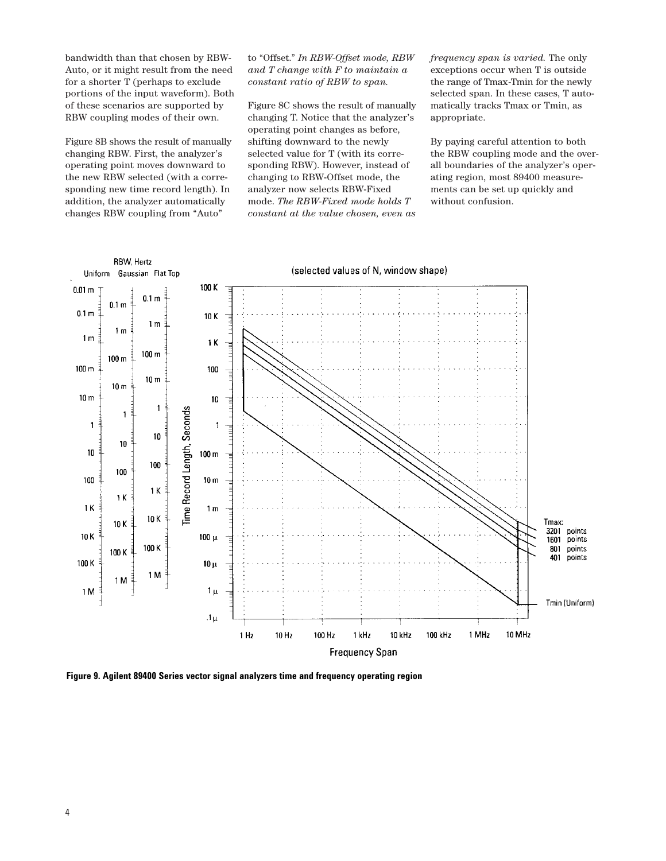bandwidth than that chosen by RBW-Auto, or it might result from the need for a shorter T (perhaps to exclude portions of the input waveform). Both of these scenarios are supported by RBW coupling modes of their own.

Figure 8B shows the result of manually changing RBW. First, the analyzer's operating point moves downward to the new RBW selected (with a corresponding new time record length). In addition, the analyzer automatically changes RBW coupling from "Auto"

to "Offset." *In RBW-Offset mode, RBW and T change with F to maintain a constant ratio of RBW to span.*

Figure 8C shows the result of manually changing T. Notice that the analyzer's operating point changes as before, shifting downward to the newly selected value for T (with its corresponding RBW). However, instead of changing to RBW-Offset mode, the analyzer now selects RBW-Fixed mode. *The RBW-Fixed mode holds T constant at the value chosen, even as* 

*frequency span is varied.* The only exceptions occur when T is outside the range of Tmax-Tmin for the newly selected span. In these cases, T automatically tracks Tmax or Tmin, as appropriate.

By paying careful attention to both the RBW coupling mode and the overall boundaries of the analyzer's operating region, most 89400 measurements can be set up quickly and without confusion.



**Figure 9. Agilent 89400 Series vector signal analyzers time and frequency operating region**